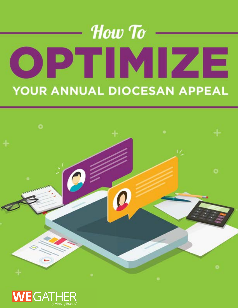# How To OPTIMIZE YOUR ANNUAL DIOCESAN APPEAL



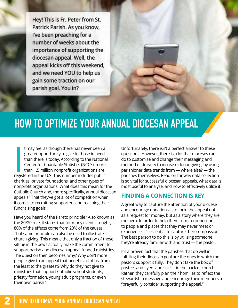Hey! This is Fr. Peter from St. Patrick Parish. As you know, I've been preaching for a number of weeks about the importance of supporting the diocesan appeal. Well, the appeal kicks off this weekend, and we need YOU to help us gain some traction on our parish goal. You in?

## **HOW TO OPTIMIZE YOUR ANNUAL DIOCESAN APPEAL**

I may feel as though there has never been a<br>greater opportunity to give to those in need<br>than there is today. According to the Nationa<br>Center for Charitable Statistics (NCCS), more<br>than 1.5 million nonprofit organizations t may feel as though there has never been a greater opportunity to give to those in need than there is today. According to the National Center for Charitable Statistics (NCCS), more than 1.5 million nonprofit organizations are charities, private foundations, and other types of nonprofit organizations. What does this mean for the Catholic Church and, more specifically, annual diocesan appeals? That they've got a lot of competition when it comes to recruiting supporters and reaching their fundraising goals.

Have you heard of the Pareto principle? Also known as the 80/20 rule, it states that for many events, roughly 80% of the effects come from 20% of the causes. That same principle can also be used to illustrate church giving. This means that only a fraction of those sitting in the pews actually make the commitment to support parish and diocesan appeal-funded ministries. The question then becomes, why? Why don't more people give to an appeal that benefits all of us, from the least to the greatest? Why do they not give to ministries that support Catholic school students, priestly formation, young adult programs, or even their own parish?

Unfortunately, there isn't a perfect answer to these questions. However, there is a lot that dioceses can do to customize and change their messaging and method of delivery to increase donor giving, by using parishioner data trends from — where else? — the parishes themselves. Read on for why data collection is so vital for successful diocesan appeals, what data is most useful to analyze, and how to effectively utilize it.

### **FINDING A CONNECTION IS KEY**

A great way to capture the attention of your diocese and encourage donations is to form the appeal not as a request for money, but as a story where they are the hero. In order to help them form a connection to people and places that they may never meet or experience, it's essential to capture their compassion. The best person to do this is by utilizing someone they're already familiar with and trust — the pastor.

It's a proven fact that the parishes that do well in fulfilling their diocesan goal are the ones in which the pastors support it fully. They don't take the box of posters and flyers and stick it in the back of church. Rather, they carefully plan their homilies to reflect the stewardship message and encourage their members to "prayerfully consider supporting the appeal."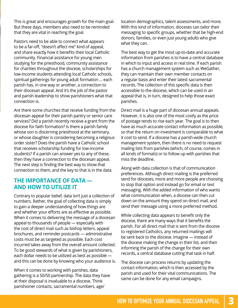This is great and encourages growth for the main goal. But these days, members also need to be reminded that they are vital in reaching the goal.

Pastors need to be able to connect what appears to be a far-off, "doesn't affect me" kind of appeal, and share exactly how it benefits their local Catholic community. Financial assistance for young men studying for the priesthood, community assistance for charities throughout the diocese, scholarships for low-income students attending local Catholic schools, spiritual gatherings for young adult formation … each parish has, in one way or another, a connection to their diocesan appeal. And it's the job of the pastor and parish leadership to show parishioners what that connection is.

Are there some churches that receive funding from the diocesan appeal for their parish pantry or senior care services? Did a parish recently receive a grant from the diocese for faith formation? Is there a parish family whose son is discerning priesthood at the seminary, or whose daughter is considering becoming a religious order sister? Does the parish have a Catholic school that receives scholarship funding for low-income students? If a parish can answer yes to any of these, then they have a connection to the diocesan appeal. The next step is finding the best way to show that connection to them, and the key to that is in the data.

#### **THE IMPORTANCE OF DATA — AND HOW TO UTILIZE IT**

Contrary to popular belief, data isn't just a collection of numbers. Rather, the goal of collecting data is simply to gain a deeper understanding of how things are and whether your efforts are as effective as possible. When it comes to delivering the message of a diocesan appeal to thousands of people — especially with the cost of direct mail such as bishop letters, appeal brochures, and reminder postcards — administrative costs must be as targeted as possible. Each cost incurred takes away from the overall amount collected. To be good stewards of what is given by parishioners, each dollar needs to be utilized as best as possible and this can be done by knowing who your audience is.

When it comes to working with parishes, data gathering is a 50/50 partnership. The data they have at their disposal is invaluable to a diocese. Think parishioner contacts, sacramental numbers, age/

location demographics, talent assessments, and more. With this kind of information, dioceses can tailor their messaging to specific groups, whether that be high-end donors, families, or even just young adults who give what they can.

The best way to get the most up-to-date and accurate information from parishes is to have a central database in which to input and access in real time. If each parish has a church management system such as WeGather, they can maintain their own member contacts on a regular basis and enter their latest sacramental records. The collection of this specific data is then accessible to the diocese, which can be used in an appeal that is, in turn, designed to help those exact parishes.

Direct mail is a huge part of diocesan annual appeals. However, it is also one of the most costly as the price of postage tends to rise each year. The goal is to then have as much accurate contact information as possible, so that the return on investment is comparable to what it cost to send. If a diocese has a parish-wide church management system, then there is no need to request mailing lists from parishes (which, of course, comes in all kinds of formats) or to follow up with parishes that miss the deadline.

Along with data collection is that of communication preferences. Although direct mailing is the preferred send for dioceses, more and more people are choosing to stop that option and instead go for email or text messaging. With the added information of who wants what communication when, a diocese can then cut down on the amount they spend on direct mail, and send their message using a more preferred method.

While collecting data appears to benefit only the diocese, there are many ways that it benefits the parish. For all direct mail that is sent from the diocese to registered Catholics, any returned mailings will be sent back to the diocese. Imagine — instead of the diocese making the change in their list, and then informing the parish of the change for their own records, a central database cutting that task in half.

The diocese can process returns by updating the contact information, which is then accessed by the parish and used for their vital communications. The same can be done for any email campaigns.